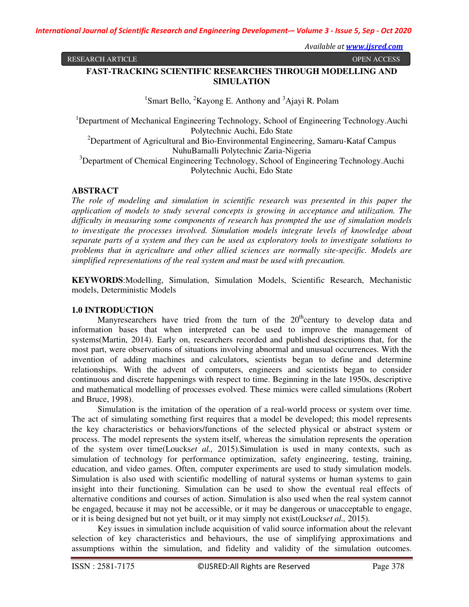*International Journal of Scientific Research and Engineering Development-– Volume 3 - Issue 5, Sep - Oct 2020*

*Available at www.ijsred.com*

RESEARCH ARTICLE **SECOND ACCESS** 

# **FAST-TRACKING SCIENTIFIC RESEARCHES THROUGH MODELLING AND SIMULATION**

<sup>1</sup>Smart Bello, <sup>2</sup>Kayong E. Anthony and <sup>3</sup>Ajayi R. Polam

<sup>1</sup>Department of Mechanical Engineering Technology, School of Engineering Technology.Auchi Polytechnic Auchi, Edo State <sup>2</sup>Department of Agricultural and Bio-Environmental Engineering, Samaru-Kataf Campus NuhuBamalli Polytechnic Zaria-Nigeria <sup>3</sup>Department of Chemical Engineering Technology, School of Engineering Technology.Auchi Polytechnic Auchi, Edo State

# **ABSTRACT**

*The role of modeling and simulation in scientific research was presented in this paper the application of models to study several concepts is growing in acceptance and utilization. The difficulty in measuring some components of research has prompted the use of simulation models to investigate the processes involved. Simulation models integrate levels of knowledge about separate parts of a system and they can be used as exploratory tools to investigate solutions to problems that in agriculture and other allied sciences are normally site-specific. Models are simplified representations of the real system and must be used with precaution.* 

**KEYWORDS**:Modelling, Simulation, Simulation Models, Scientific Research, Mechanistic models, Deterministic Models

# **1.0 INTRODUCTION**

Manyresearchers have tried from the turn of the  $20<sup>th</sup>$ century to develop data and information bases that when interpreted can be used to improve the management of systems(Martin, 2014). Early on, researchers recorded and published descriptions that, for the most part, were observations of situations involving abnormal and unusual occurrences. With the invention of adding machines and calculators, scientists began to define and determine relationships. With the advent of computers, engineers and scientists began to consider continuous and discrete happenings with respect to time. Beginning in the late 1950s, descriptive and mathematical modelling of processes evolved. These mimics were called simulations (Robert and Bruce, 1998).

Simulation is the imitation of the operation of a real-world process or system over time. The act of simulating something first requires that a model be developed; this model represents the key characteristics or behaviors/functions of the selected physical or abstract system or process. The model represents the system itself, whereas the simulation represents the operation of the system over time(Loucks*et al.,* 2015).Simulation is used in many contexts, such as simulation of technology for performance optimization, safety engineering, testing, training, education, and video games. Often, computer experiments are used to study simulation models. Simulation is also used with scientific modelling of natural systems or human systems to gain insight into their functioning. Simulation can be used to show the eventual real effects of alternative conditions and courses of action. Simulation is also used when the real system cannot be engaged, because it may not be accessible, or it may be dangerous or unacceptable to engage, or it is being designed but not yet built, or it may simply not exist(Loucks*et al.,* 2015).

Key issues in simulation include acquisition of valid source information about the relevant selection of key characteristics and behaviours, the use of simplifying approximations and assumptions within the simulation, and fidelity and validity of the simulation outcomes.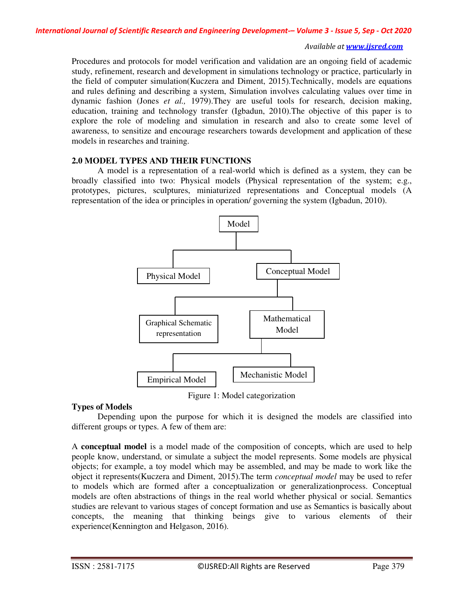Procedures and protocols for model verification and validation are an ongoing field of academic study, refinement, research and development in simulations technology or practice, particularly in the field of computer simulation(Kuczera and Diment, 2015).Technically, models are equations and rules defining and describing a system, Simulation involves calculating values over time in dynamic fashion (Jones *et al.,* 1979).They are useful tools for research, decision making, education, training and technology transfer (Igbadun, 2010).The objective of this paper is to explore the role of modeling and simulation in research and also to create some level of awareness, to sensitize and encourage researchers towards development and application of these models in researches and training.

# **2.0 MODEL TYPES AND THEIR FUNCTIONS**

A model is a representation of a real-world which is defined as a system, they can be broadly classified into two: Physical models (Physical representation of the system; e.g., prototypes, pictures, sculptures, miniaturized representations and Conceptual models (A representation of the idea or principles in operation/ governing the system (Igbadun, 2010).



Figure 1: Model categorization

# **Types of Models**

Depending upon the purpose for which it is designed the models are classified into different groups or types. A few of them are:

A **conceptual model** is a model made of the composition of concepts, which are used to help people know, understand, or simulate a subject the model represents. Some models are physical objects; for example, a toy model which may be assembled, and may be made to work like the object it represents(Kuczera and Diment, 2015).The term *conceptual model* may be used to refer to models which are formed after a conceptualization or generalizationprocess. Conceptual models are often abstractions of things in the real world whether physical or social. Semantics studies are relevant to various stages of concept formation and use as Semantics is basically about concepts, the meaning that thinking beings give to various elements of their experience(Kennington and Helgason, 2016).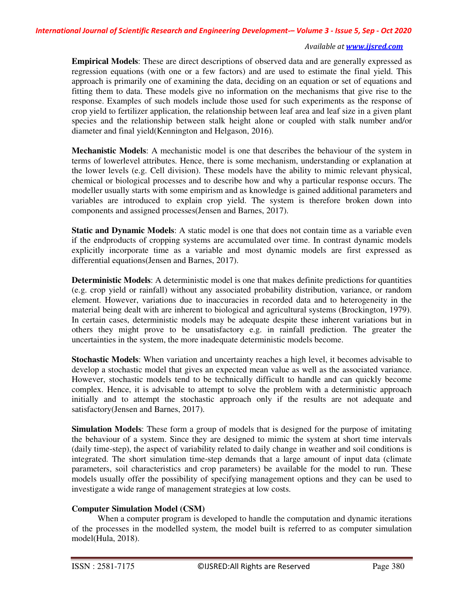**Empirical Models**: These are direct descriptions of observed data and are generally expressed as regression equations (with one or a few factors) and are used to estimate the final yield. This approach is primarily one of examining the data, deciding on an equation or set of equations and fitting them to data. These models give no information on the mechanisms that give rise to the response. Examples of such models include those used for such experiments as the response of crop yield to fertilizer application, the relationship between leaf area and leaf size in a given plant species and the relationship between stalk height alone or coupled with stalk number and/or diameter and final yield(Kennington and Helgason, 2016).

**Mechanistic Models**: A mechanistic model is one that describes the behaviour of the system in terms of lowerlevel attributes. Hence, there is some mechanism, understanding or explanation at the lower levels (e.g. Cell division). These models have the ability to mimic relevant physical, chemical or biological processes and to describe how and why a particular response occurs. The modeller usually starts with some empirism and as knowledge is gained additional parameters and variables are introduced to explain crop yield. The system is therefore broken down into components and assigned processes(Jensen and Barnes, 2017).

**Static and Dynamic Models:** A static model is one that does not contain time as a variable even if the endproducts of cropping systems are accumulated over time. In contrast dynamic models explicitly incorporate time as a variable and most dynamic models are first expressed as differential equations(Jensen and Barnes, 2017).

**Deterministic Models**: A deterministic model is one that makes definite predictions for quantities (e.g. crop yield or rainfall) without any associated probability distribution, variance, or random element. However, variations due to inaccuracies in recorded data and to heterogeneity in the material being dealt with are inherent to biological and agricultural systems (Brockington, 1979). In certain cases, deterministic models may be adequate despite these inherent variations but in others they might prove to be unsatisfactory e.g. in rainfall prediction. The greater the uncertainties in the system, the more inadequate deterministic models become.

**Stochastic Models**: When variation and uncertainty reaches a high level, it becomes advisable to develop a stochastic model that gives an expected mean value as well as the associated variance. However, stochastic models tend to be technically difficult to handle and can quickly become complex. Hence, it is advisable to attempt to solve the problem with a deterministic approach initially and to attempt the stochastic approach only if the results are not adequate and satisfactory(Jensen and Barnes, 2017).

**Simulation Models**: These form a group of models that is designed for the purpose of imitating the behaviour of a system. Since they are designed to mimic the system at short time intervals (daily time-step), the aspect of variability related to daily change in weather and soil conditions is integrated. The short simulation time-step demands that a large amount of input data (climate parameters, soil characteristics and crop parameters) be available for the model to run. These models usually offer the possibility of specifying management options and they can be used to investigate a wide range of management strategies at low costs.

## **Computer Simulation Model (CSM)**

When a computer program is developed to handle the computation and dynamic iterations of the processes in the modelled system, the model built is referred to as computer simulation model(Hula, 2018).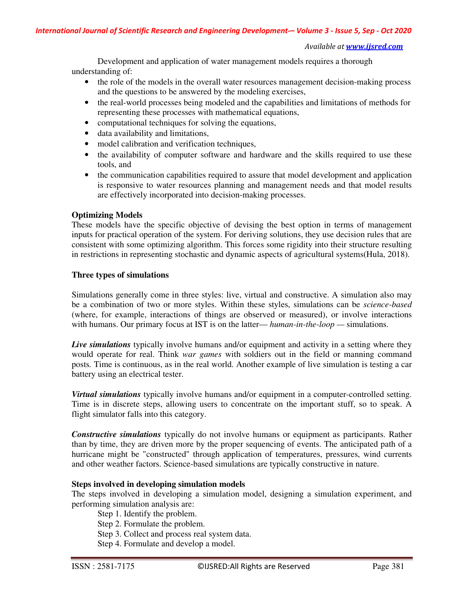Development and application of water management models requires a thorough understanding of:

- the role of the models in the overall water resources management decision-making process and the questions to be answered by the modeling exercises,
- the real-world processes being modeled and the capabilities and limitations of methods for representing these processes with mathematical equations,
- computational techniques for solving the equations,
- data availability and limitations,
- model calibration and verification techniques,
- the availability of computer software and hardware and the skills required to use these tools, and
- the communication capabilities required to assure that model development and application is responsive to water resources planning and management needs and that model results are effectively incorporated into decision-making processes.

## **Optimizing Models**

These models have the specific objective of devising the best option in terms of management inputs for practical operation of the system. For deriving solutions, they use decision rules that are consistent with some optimizing algorithm. This forces some rigidity into their structure resulting in restrictions in representing stochastic and dynamic aspects of agricultural systems(Hula, 2018).

## **Three types of simulations**

Simulations generally come in three styles: live, virtual and constructive. A simulation also may be a combination of two or more styles. Within these styles, simulations can be *science-based* (where, for example, interactions of things are observed or measured), or involve interactions with humans. Our primary focus at IST is on the latter— *human-in-the-loop —* simulations.

*Live simulations* typically involve humans and/or equipment and activity in a setting where they would operate for real. Think *war games* with soldiers out in the field or manning command posts*.* Time is continuous, as in the real world. Another example of live simulation is testing a car battery using an electrical tester.

*Virtual simulations* typically involve humans and/or equipment in a computer-controlled setting. Time is in discrete steps, allowing users to concentrate on the important stuff, so to speak. A flight simulator falls into this category.

*Constructive simulations* typically do not involve humans or equipment as participants. Rather than by time, they are driven more by the proper sequencing of events. The anticipated path of a hurricane might be "constructed" through application of temperatures, pressures, wind currents and other weather factors. Science-based simulations are typically constructive in nature.

## **Steps involved in developing simulation models**

The steps involved in developing a simulation model, designing a simulation experiment, and performing simulation analysis are:

Step 1. Identify the problem.

Step 2. Formulate the problem.

- Step 3. Collect and process real system data.
- Step 4. Formulate and develop a model.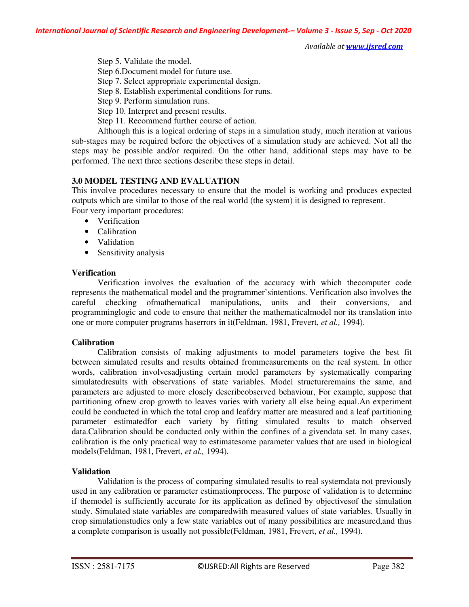Step 5. Validate the model.

Step 6.Document model for future use.

- Step 7. Select appropriate experimental design.
- Step 8. Establish experimental conditions for runs.
- Step 9. Perform simulation runs.
- Step 10. Interpret and present results.
- Step 11. Recommend further course of action.

Although this is a logical ordering of steps in a simulation study, much iteration at various sub-stages may be required before the objectives of a simulation study are achieved. Not all the steps may be possible and/or required. On the other hand, additional steps may have to be performed. The next three sections describe these steps in detail.

## **3.0 MODEL TESTING AND EVALUATION**

This involve procedures necessary to ensure that the model is working and produces expected outputs which are similar to those of the real world (the system) it is designed to represent. Four very important procedures:

- Verification
- Calibration
- Validation
- Sensitivity analysis

#### **Verification**

Verification involves the evaluation of the accuracy with which thecomputer code represents the mathematical model and the programmer'sintentions. Verification also involves the careful checking ofmathematical manipulations, units and their conversions, and programminglogic and code to ensure that neither the mathematicalmodel nor its translation into one or more computer programs haserrors in it(Feldman, 1981, Frevert, *et al.,* 1994).

#### **Calibration**

Calibration consists of making adjustments to model parameters togive the best fit between simulated results and results obtained frommeasurements on the real system. In other words, calibration involvesadjusting certain model parameters by systematically comparing simulatedresults with observations of state variables. Model structureremains the same, and parameters are adjusted to more closely describeobserved behaviour, For example, suppose that partitioning ofnew crop growth to leaves varies with variety all else being equal.An experiment could be conducted in which the total crop and leafdry matter are measured and a leaf partitioning parameter estimatedfor each variety by fitting simulated results to match observed data.Calibration should be conducted only within the confines of a givendata set. In many cases, calibration is the only practical way to estimatesome parameter values that are used in biological models(Feldman, 1981, Frevert, *et al.,* 1994).

#### **Validation**

Validation is the process of comparing simulated results to real systemdata not previously used in any calibration or parameter estimationprocess. The purpose of validation is to determine if themodel is sufficiently accurate for its application as defined by objectivesof the simulation study. Simulated state variables are comparedwith measured values of state variables. Usually in crop simulationstudies only a few state variables out of many possibilities are measured,and thus a complete comparison is usually not possible(Feldman, 1981, Frevert, *et al.,* 1994).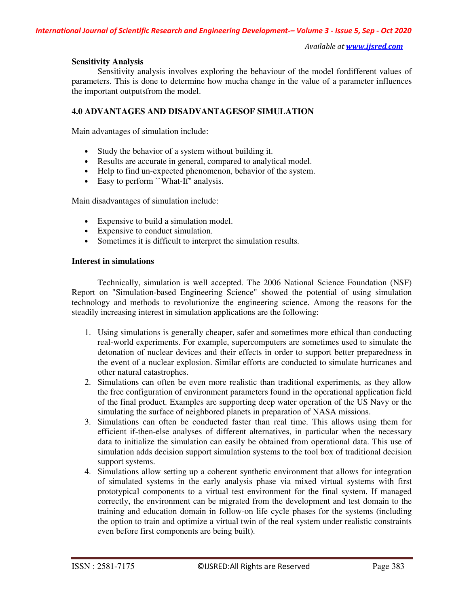# **Sensitivity Analysis**

Sensitivity analysis involves exploring the behaviour of the model fordifferent values of parameters. This is done to determine how mucha change in the value of a parameter influences the important outputsfrom the model.

# **4.0 ADVANTAGES AND DISADVANTAGESOF SIMULATION**

Main advantages of simulation include:

- Study the behavior of a system without building it.
- Results are accurate in general, compared to analytical model.
- Help to find un-expected phenomenon, behavior of the system.
- Easy to perform ``What-If'' analysis.

Main disadvantages of simulation include:

- Expensive to build a simulation model.
- Expensive to conduct simulation.
- Sometimes it is difficult to interpret the simulation results.

## **Interest in simulations**

Technically, simulation is well accepted. The 2006 National Science Foundation (NSF) Report on "Simulation-based Engineering Science" showed the potential of using simulation technology and methods to revolutionize the engineering science. Among the reasons for the steadily increasing interest in simulation applications are the following:

- 1. Using simulations is generally cheaper, safer and sometimes more ethical than conducting real-world experiments. For example, supercomputers are sometimes used to simulate the detonation of nuclear devices and their effects in order to support better preparedness in the event of a nuclear explosion. Similar efforts are conducted to simulate hurricanes and other natural catastrophes.
- 2. Simulations can often be even more realistic than traditional experiments, as they allow the free configuration of environment parameters found in the operational application field of the final product. Examples are supporting deep water operation of the US Navy or the simulating the surface of neighbored planets in preparation of NASA missions.
- 3. Simulations can often be conducted faster than real time. This allows using them for efficient if-then-else analyses of different alternatives, in particular when the necessary data to initialize the simulation can easily be obtained from operational data. This use of simulation adds decision support simulation systems to the tool box of traditional decision support systems.
- 4. Simulations allow setting up a coherent synthetic environment that allows for integration of simulated systems in the early analysis phase via mixed virtual systems with first prototypical components to a virtual test environment for the final system. If managed correctly, the environment can be migrated from the development and test domain to the training and education domain in follow-on life cycle phases for the systems (including the option to train and optimize a virtual twin of the real system under realistic constraints even before first components are being built).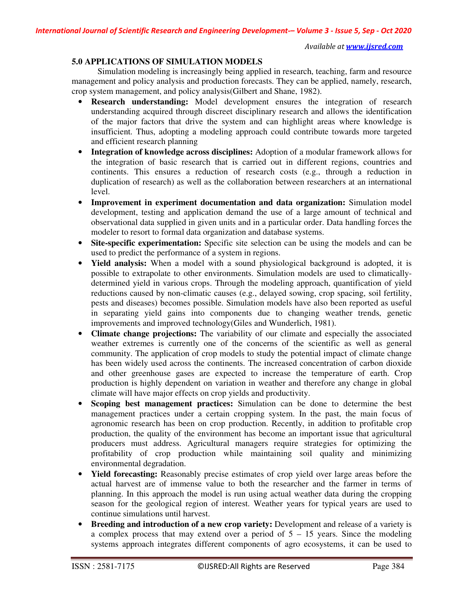# **5.0 APPLICATIONS OF SIMULATION MODELS**

Simulation modeling is increasingly being applied in research, teaching, farm and resource management and policy analysis and production forecasts. They can be applied, namely, research, crop system management, and policy analysis(Gilbert and Shane, 1982).

- **Research understanding:** Model development ensures the integration of research understanding acquired through discreet disciplinary research and allows the identification of the major factors that drive the system and can highlight areas where knowledge is insufficient. Thus, adopting a modeling approach could contribute towards more targeted and efficient research planning
- **Integration of knowledge across disciplines:** Adoption of a modular framework allows for the integration of basic research that is carried out in different regions, countries and continents. This ensures a reduction of research costs (e.g., through a reduction in duplication of research) as well as the collaboration between researchers at an international level.
- **Improvement in experiment documentation and data organization:** Simulation model development, testing and application demand the use of a large amount of technical and observational data supplied in given units and in a particular order. Data handling forces the modeler to resort to formal data organization and database systems.
- **Site-specific experimentation:** Specific site selection can be using the models and can be used to predict the performance of a system in regions.
- **Yield analysis:** When a model with a sound physiological background is adopted, it is possible to extrapolate to other environments. Simulation models are used to climaticallydetermined yield in various crops. Through the modeling approach, quantification of yield reductions caused by non-climatic causes (e.g., delayed sowing, crop spacing, soil fertility, pests and diseases) becomes possible. Simulation models have also been reported as useful in separating yield gains into components due to changing weather trends, genetic improvements and improved technology(Giles and Wunderlich, 1981).
- **Climate change projections:** The variability of our climate and especially the associated weather extremes is currently one of the concerns of the scientific as well as general community. The application of crop models to study the potential impact of climate change has been widely used across the continents. The increased concentration of carbon dioxide and other greenhouse gases are expected to increase the temperature of earth. Crop production is highly dependent on variation in weather and therefore any change in global climate will have major effects on crop yields and productivity.
- **Scoping best management practices:** Simulation can be done to determine the best management practices under a certain cropping system. In the past, the main focus of agronomic research has been on crop production. Recently, in addition to profitable crop production, the quality of the environment has become an important issue that agricultural producers must address. Agricultural managers require strategies for optimizing the profitability of crop production while maintaining soil quality and minimizing environmental degradation.
- **Yield forecasting:** Reasonably precise estimates of crop yield over large areas before the actual harvest are of immense value to both the researcher and the farmer in terms of planning. In this approach the model is run using actual weather data during the cropping season for the geological region of interest. Weather years for typical years are used to continue simulations until harvest.
- **Breeding and introduction of a new crop variety:** Development and release of a variety is a complex process that may extend over a period of  $5 - 15$  years. Since the modeling systems approach integrates different components of agro ecosystems, it can be used to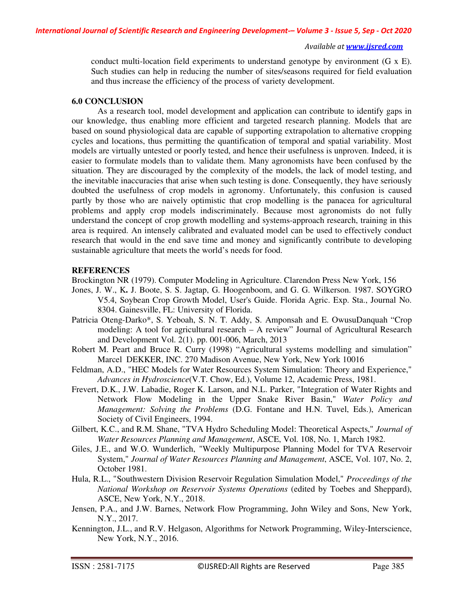conduct multi-location field experiments to understand genotype by environment  $(G \times E)$ . Such studies can help in reducing the number of sites/seasons required for field evaluation and thus increase the efficiency of the process of variety development.

#### **6.0 CONCLUSION**

As a research tool, model development and application can contribute to identify gaps in our knowledge, thus enabling more efficient and targeted research planning. Models that are based on sound physiological data are capable of supporting extrapolation to alternative cropping cycles and locations, thus permitting the quantification of temporal and spatial variability. Most models are virtually untested or poorly tested, and hence their usefulness is unproven. Indeed, it is easier to formulate models than to validate them. Many agronomists have been confused by the situation. They are discouraged by the complexity of the models, the lack of model testing, and the inevitable inaccuracies that arise when such testing is done. Consequently, they have seriously doubted the usefulness of crop models in agronomy. Unfortunately, this confusion is caused partly by those who are naively optimistic that crop modelling is the panacea for agricultural problems and apply crop models indiscriminately. Because most agronomists do not fully understand the concept of crop growth modelling and systems-approach research, training in this area is required. An intensely calibrated and evaluated model can be used to effectively conduct research that would in the end save time and money and significantly contribute to developing sustainable agriculture that meets the world's needs for food.

#### **REFERENCES**

Brockington NR (1979). Computer Modeling in Agriculture. Clarendon Press New York, 156

- Jones, J. W., K**.** J. Boote, S. S. Jagtap, G. Hoogenboom, and G. G. Wilkerson. 1987. SOYGRO V5.4, Soybean Crop Growth Model, User's Guide. Florida Agric. Exp. Sta., Journal No. 8304. Gainesville, FL: University of Florida.
- Patricia Oteng-Darko\*, S. Yeboah, S. N. T. Addy, S. Amponsah and E. OwusuDanquah "Crop modeling: A tool for agricultural research – A review" Journal of Agricultural Research and Development Vol. 2(1). pp. 001-006, March, 2013
- Robert M. Peart and Bruce R. Curry (1998) "Agricultural systems modelling and simulation" Marcel DEKKER, INC. 270 Madison Avenue, New York, New York 10016
- Feldman, A.D., "HEC Models for Water Resources System Simulation: Theory and Experience," *Advances in Hydroscience*(V.T. Chow, Ed.), Volume 12, Academic Press, 1981.
- Frevert, D.K., J.W. Labadie, Roger K. Larson, and N.L. Parker, "Integration of Water Rights and Network Flow Modeling in the Upper Snake River Basin," *Water Policy and Management: Solving the Problems* (D.G. Fontane and H.N. Tuvel, Eds.), American Society of Civil Engineers, 1994.
- Gilbert, K.C., and R.M. Shane, "TVA Hydro Scheduling Model: Theoretical Aspects," *Journal of Water Resources Planning and Management*, ASCE, Vol. 108, No. 1, March 1982.
- Giles, J.E., and W.O. Wunderlich, "Weekly Multipurpose Planning Model for TVA Reservoir System," *Journal of Water Resources Planning and Management*, ASCE, Vol. 107, No. 2, October 1981.
- Hula, R.L., "Southwestern Division Reservoir Regulation Simulation Model," *Proceedings of the National Workshop on Reservoir Systems Operations* (edited by Toebes and Sheppard), ASCE, New York, N.Y., 2018.
- Jensen, P.A., and J.W. Barnes, Network Flow Programming, John Wiley and Sons, New York, N.Y., 2017.
- Kennington, J.L., and R.V. Helgason, Algorithms for Network Programming, Wiley-Interscience, New York, N.Y., 2016.